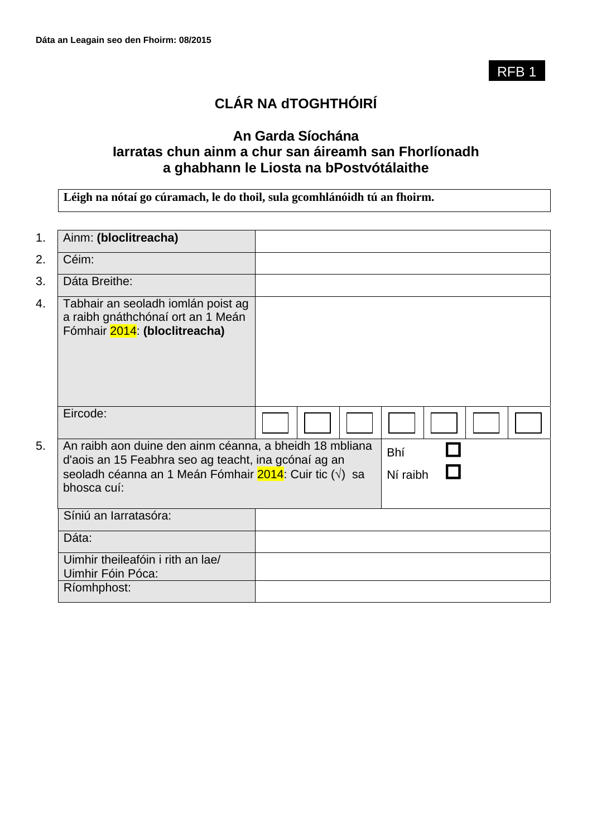RFB 1

# **CLÁR NA dTOGHTHÓIRÍ**

# **An Garda Síochána Iarratas chun ainm a chur san áireamh san Fhorlíonadh a ghabhann le Liosta na bPostvótálaithe**

**Léigh na nótaí go cúramach, le do thoil, sula gcomhlánóidh tú an fhoirm.**

| 1. | Ainm: (bloclitreacha)                                                                                                                                                                    |                        |  |
|----|------------------------------------------------------------------------------------------------------------------------------------------------------------------------------------------|------------------------|--|
| 2. | Céim:                                                                                                                                                                                    |                        |  |
| 3. | Dáta Breithe:                                                                                                                                                                            |                        |  |
| 4. | Tabhair an seoladh iomlán poist ag<br>a raibh gnáthchónaí ort an 1 Meán<br>Fómhair 2014: (bloclitreacha)                                                                                 |                        |  |
|    | Eircode:                                                                                                                                                                                 |                        |  |
| 5. | An raibh aon duine den ainm céanna, a bheidh 18 mbliana<br>d'aois an 15 Feabhra seo ag teacht, ina gcónaí ag an<br>seoladh céanna an 1 Meán Fómhair 2014: Cuir tic (√) sa<br>bhosca cuí: | <b>Bhí</b><br>Ní raibh |  |
|    | Síniú an Iarratasóra:                                                                                                                                                                    |                        |  |
|    | Dáta:                                                                                                                                                                                    |                        |  |
|    | Uimhir theileafóin i rith an lae/<br>Uimhir Fóin Póca:                                                                                                                                   |                        |  |
|    | Ríomhphost:                                                                                                                                                                              |                        |  |